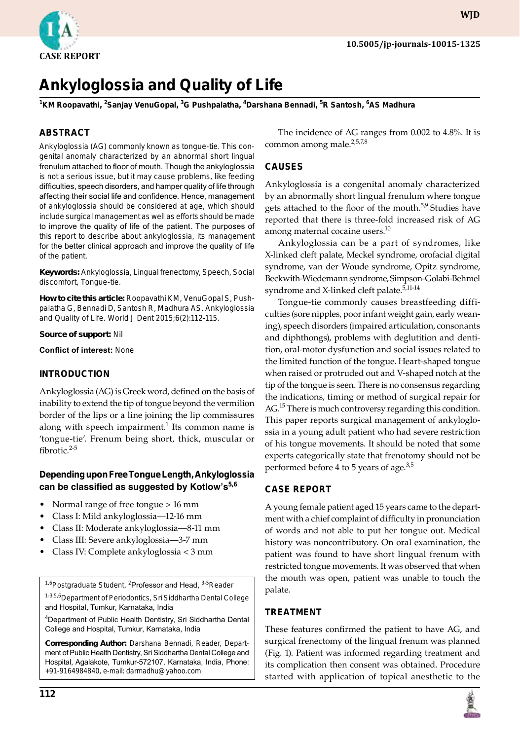

**wjd**

# **Ankyloglossia and Quality of Life**

**1 KM Roopavathi, 2 Sanjay VenuGopal, 3 G Pushpalatha, 4 Darshana Bennadi, 5 R Santosh, 6 AS Madhura**

# **ABSTRACT**

Ankyloglossia (AG) commonly known as tongue-tie. This congenital anomaly characterized by an abnormal short lingual frenulum attached to floor of mouth. Though the ankyloglossia is not a serious issue, but it may cause problems, like feeding difficulties, speech disorders, and hamper quality of life through affecting their social life and confidence. Hence, management of ankyloglossia should be considered at age, which should include surgical management as well as efforts should be made to improve the quality of life of the patient. The purposes of this report to describe about ankyloglossia, its management for the better clinical approach and improve the quality of life of the patient.

**Keywords:** Ankyloglossia, Lingual frenectomy, Speech, Social discomfort, Tongue-tie.

**How to cite this article:** Roopavathi KM, VenuGopal S, Pushpalatha G, Bennadi D, Santosh R, Madhura AS. Ankyloglossia and Quality of Life. World J Dent 2015;6(2):112-115.

**Source of support:** Nil

**Conflict of interest:** None

### **INTRODUCTION**

Ankyloglossia (AG) is Greek word, defined on the basis of inability to extend the tip of tongue beyond the vermilion border of the lips or a line joining the lip commissures along with speech impairment.<sup>1</sup> Its common name is 'tongue-tie'. Frenum being short, thick, muscular or fibrotic. $2-5$ 

# **Depending upon Free Tongue Length, Ankyloglossia can be classified as suggested by Kotlow's5,6**

- Normal range of free tongue > 16 mm
- Class I: Mild ankyloglossia—12-16 mm
- Class II: Moderate ankyloglossia—8-11 mm
- Class III: Severe ankyloglossia—3-7 mm
- Class IV: Complete ankyloglossia < 3 mm

<sup>1,6</sup>Postgraduate Student, <sup>2</sup>Professor and Head, <sup>3-5</sup>Reader

<sup>1-3,5,6</sup>Department of Periodontics, Sri Siddhartha Dental College and Hospital, Tumkur, Karnataka, India

4 Department of Public Health Dentistry, Sri Siddhartha Dental College and Hospital, Tumkur, Karnataka, India

**Corresponding Author:** Darshana Bennadi, Reader, Department of Public Health Dentistry, Sri Siddhartha Dental College and Hospital, Agalakote, Tumkur-572107, Karnataka, India, Phone: +91-9164984840, e-mail: darmadhu@yahoo.com

The incidence of AG ranges from 0.002 to 4.8%. It is common among male. $2,5,7,8$ 

# **Causes**

Ankyloglossia is a congenital anomaly characterized by an abnormally short lingual frenulum where tongue gets attached to the floor of the mouth.<sup>5,9</sup> Studies have reported that there is three-fold increased risk of AG among maternal cocaine users.<sup>10</sup>

Ankyloglossia can be a part of syndromes, like X-linked cleft palate, Meckel syndrome, orofacial digital syndrome, van der Woude syndrome, Opitz syndrome, Beckwith-Wiedemann syndrome, Simpson-Golabi-Behmel syndrome and X-linked cleft palate.<sup>5,11-14</sup>

Tongue-tie commonly causes breastfeeding difficulties (sore nipples, poor infant weight gain, early weaning), speech disorders (impaired articulation, consonants and diphthongs), problems with deglutition and dentition, oral-motor dysfunction and social issues related to the limited function of the tongue. Heart-shaped tongue when raised or protruded out and V-shaped notch at the tip of the tongue is seen. There is no consensus regarding the indications, timing or method of surgical repair for AG.<sup>15</sup> There is much controversy regarding this condition. This paper reports surgical management of ankyloglossia in a young adult patient who had severe restriction of his tongue movements. It should be noted that some experts categorically state that frenotomy should not be performed before 4 to 5 years of age.<sup>3,5</sup>

# **Case Report**

A young female patient aged 15 years came to the department with a chief complaint of difficulty in pronunciation of words and not able to put her tongue out. Medical history was noncontributory. On oral examination, the patient was found to have short lingual frenum with restricted tongue movements. It was observed that when the mouth was open, patient was unable to touch the palate.

# **Treatment**

These features confirmed the patient to have AG, and surgical frenectomy of the lingual frenum was planned (Fig. 1). Patient was informed regarding treatment and its complication then consent was obtained. Procedure started with application of topical anesthetic to the

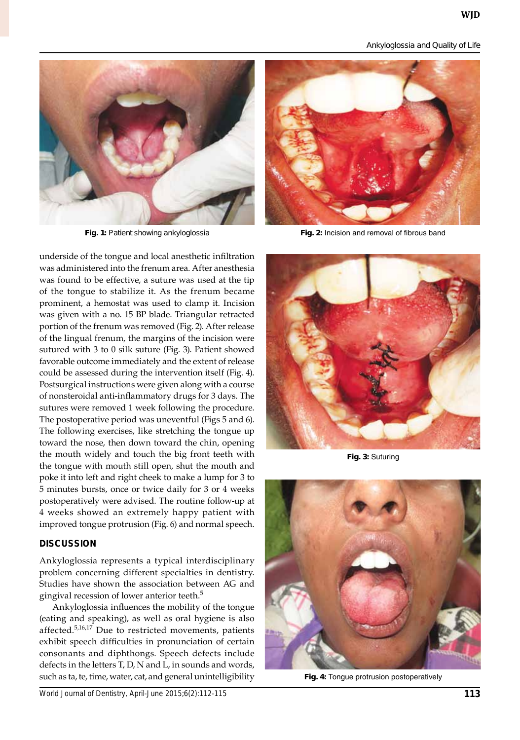*Ankyloglossia and Quality of Life*



underside of the tongue and local anesthetic infiltration was administered into the frenum area. After anesthesia was found to be effective, a suture was used at the tip of the tongue to stabilize it. As the frenum became prominent, a hemostat was used to clamp it. Incision was given with a no. 15 BP blade. Triangular retracted portion of the frenum was removed (Fig. 2). After release of the lingual frenum, the margins of the incision were sutured with 3 to 0 silk suture (Fig. 3). Patient showed favorable outcome immediately and the extent of release could be assessed during the intervention itself (Fig. 4). Postsurgical instructions were given along with a course of nonsteroidal anti-inflammatory drugs for 3 days. The sutures were removed 1 week following the procedure. The postoperative period was uneventful (Figs 5 and 6). The following exercises, like stretching the tongue up toward the nose, then down toward the chin, opening the mouth widely and touch the big front teeth with the tongue with mouth still open, shut the mouth and poke it into left and right cheek to make a lump for 3 to 5 minutes bursts, once or twice daily for 3 or 4 weeks postoperatively were advised. The routine follow-up at 4 weeks showed an extremely happy patient with improved tongue protrusion (Fig. 6) and normal speech.

# **DISCUSSION**

Ankyloglossia represents a typical interdisciplinary problem concerning different specialties in dentistry. Studies have shown the association between AG and gingival recession of lower anterior teeth.<sup>5</sup>

Ankyloglossia influences the mobility of the tongue (eating and speaking), as well as oral hygiene is also affected.5,16,17 Due to restricted movements, patients exhibit speech difficulties in pronunciation of certain consonants and diphthongs. Speech defects include defects in the letters T, D, N and L, in sounds and words, such as ta, te, time, water, cat, and general unintelligibility



**Fig. 1:** Patient showing ankyloglossia **Fig. 2:** Incision and removal of fibrous band



**Fig. 3:** Suturing



**Fig. 4:** Tongue protrusion postoperatively

*World Journal of Dentistry, April-June 2015;6(2):112-115* **113**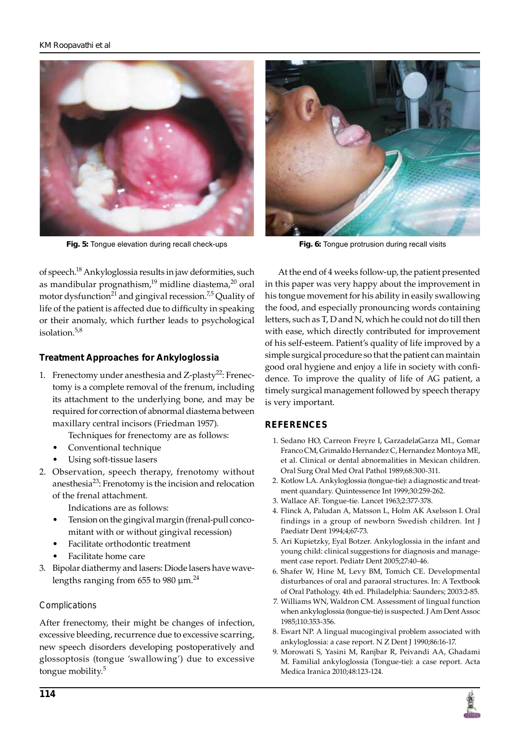

**Fig. 5:** Tongue elevation during recall check-ups **Fig. 6:** Tongue protrusion during recall visits



of speech.18 Ankyloglossia results in jaw deformities, such as mandibular prognathism, $19$  midline diastema, $20$  oral motor dysfunction<sup>21</sup> and gingival recession.<sup>7,5</sup> Quality of life of the patient is affected due to difficulty in speaking or their anomaly, which further leads to psychological isolation.5,8

# **Treatment Approaches for Ankyloglossia**

- 1. Frenectomy under anesthesia and  $Z$ -plasty<sup>22</sup>: Frenectomy is a complete removal of the frenum, including its attachment to the underlying bone, and may be required for correction of abnormal diastema between maxillary central incisors (Friedman 1957).
	- Techniques for frenectomy are as follows:
	- Conventional technique
	- Using soft-tissue lasers
- 2. Observation, speech therapy, frenotomy without anesthesia<sup>23</sup>: Frenotomy is the incision and relocation of the frenal attachment.

Indications are as follows:

- Tension on the gingival margin (frenal-pull concomitant with or without gingival recession)
- Facilitate orthodontic treatment
- Facilitate home care
- 3. Bipolar diathermy and lasers: Diode lasers have wavelengths ranging from 655 to 980  $\mu$ m.<sup>24</sup>

#### *Complications*

After frenectomy, their might be changes of infection, excessive bleeding, recurrence due to excessive scarring, new speech disorders developing postoperatively and glossoptosis (tongue 'swallowing') due to excessive tongue mobility.<sup>5</sup>

At the end of 4 weeks follow-up, the patient presented in this paper was very happy about the improvement in his tongue movement for his ability in easily swallowing the food, and especially pronouncing words containing letters, such as T, D and N, which he could not do till then with ease, which directly contributed for improvement of his self-esteem. Patient's quality of life improved by a simple surgical procedure so that the patient can maintain good oral hygiene and enjoy a life in society with confidence. To improve the quality of life of AG patient, a timely surgical management followed by speech therapy is very important.

#### **REFERENCES**

- 1. Sedano HO, Carreon Freyre I, GarzadelaGarza ML, Gomar Franco CM, Grimaldo Hernandez C, Hernandez Montoya ME, et al. Clinical or dental abnormalities in Mexican children. Oral Surg Oral Med Oral Pathol 1989;68:300-311.
- 2. Kotlow LA. Ankyloglossia (tongue-tie): a diagnostic and treatment quandary. Quintessence Int 1999;30:259-262.
- 3. Wallace AF. Tongue-tie. Lancet 1963;2:377-378.
- 4. Flinck A, Paludan A, Matsson L, Holm AK Axelsson I. Oral findings in a group of newborn Swedish children. Int J Paediatr Dent 1994;4;67-73.
- 5. Ari Kupietzky, Eyal Botzer. Ankyloglossia in the infant and young child: clinical suggestions for diagnosis and management case report. Pediatr Dent 2005;27:40-46.
- 6. Shafer W, Hine M, Levy BM, Tomich CE. Developmental disturbances of oral and paraoral structures. In: A Textbook of Oral Pathology. 4th ed. Philadelphia: Saunders; 2003:2-85.
- 7. Williams WN, Waldron CM. Assessment of lingual function when ankyloglossia (tongue-tie) is suspected. J Am Dent Assoc 1985;110:353-356.
- 8. Ewart NP. A lingual mucogingival problem associated with ankyloglossia: a case report. N Z Dent J 1990;86:16-17.
- 9. Morowati S, Yasini M, Ranjbar R, Peivandi AA, Ghadami M. Familial ankyloglossia (Tongue-tie): a case report. Acta Medica Iranica 2010;48:123-124.